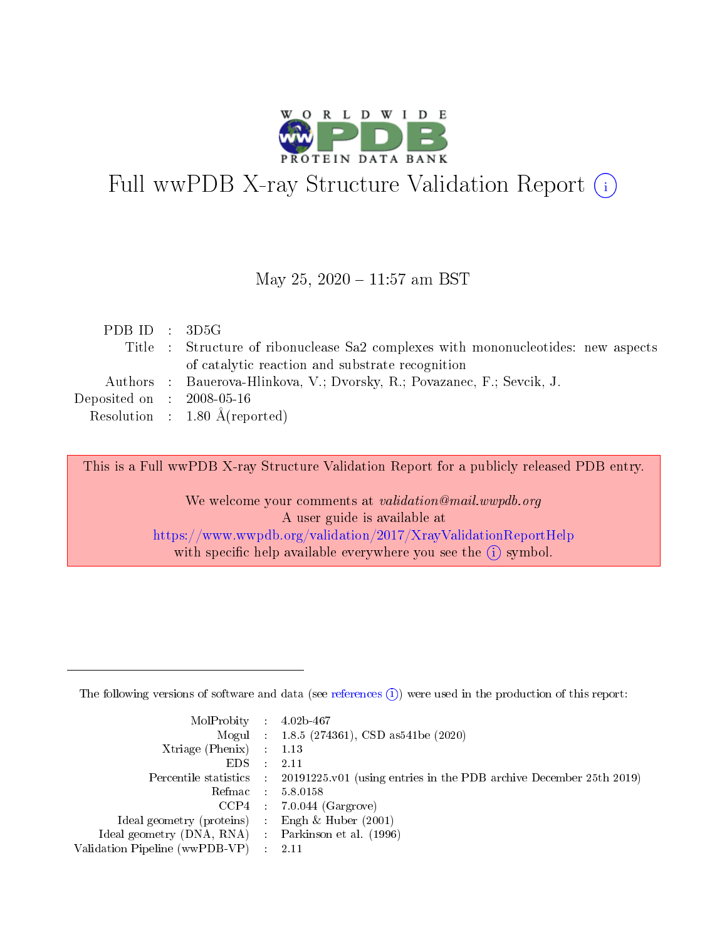

# Full wwPDB X-ray Structure Validation Report (i)

#### May 25, 2020 - 11:57 am BST

| PDB ID : $3D5G$                |                                                                                   |
|--------------------------------|-----------------------------------------------------------------------------------|
|                                | Title : Structure of ribonuclease Sa2 complexes with mononucleotides: new aspects |
|                                | of catalytic reaction and substrate recognition                                   |
|                                | Authors : Bauerova-Hlinkova, V.; Dvorsky, R.; Povazanec, F.; Sevcik, J.           |
| Deposited on $\,$ : 2008-05-16 |                                                                                   |
|                                | Resolution : $1.80 \text{ Å}$ (reported)                                          |

This is a Full wwPDB X-ray Structure Validation Report for a publicly released PDB entry.

We welcome your comments at validation@mail.wwpdb.org A user guide is available at <https://www.wwpdb.org/validation/2017/XrayValidationReportHelp> with specific help available everywhere you see the  $(i)$  symbol.

The following versions of software and data (see [references](https://www.wwpdb.org/validation/2017/XrayValidationReportHelp#references)  $(1)$ ) were used in the production of this report:

| $MolProbability$ : 4.02b-467                        |                                                                                            |
|-----------------------------------------------------|--------------------------------------------------------------------------------------------|
|                                                     | Mogul : 1.8.5 (274361), CSD as 541be (2020)                                                |
| Xtriage (Phenix) $: 1.13$                           |                                                                                            |
| EDS :                                               | -2.11                                                                                      |
|                                                     | Percentile statistics : 20191225.v01 (using entries in the PDB archive December 25th 2019) |
| Refmac 58.0158                                      |                                                                                            |
|                                                     | $CCP4$ 7.0.044 (Gargrove)                                                                  |
| Ideal geometry (proteins) : Engh $\&$ Huber (2001)  |                                                                                            |
| Ideal geometry (DNA, RNA) : Parkinson et al. (1996) |                                                                                            |
| Validation Pipeline (wwPDB-VP) : 2.11               |                                                                                            |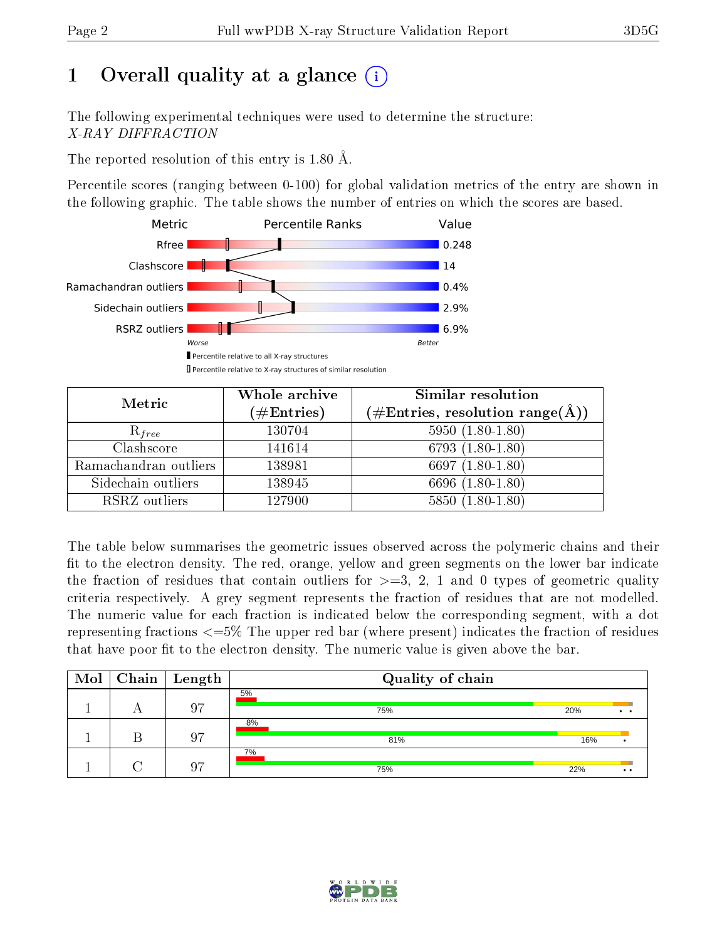## 1 [O](https://www.wwpdb.org/validation/2017/XrayValidationReportHelp#overall_quality)verall quality at a glance  $(i)$

The following experimental techniques were used to determine the structure: X-RAY DIFFRACTION

The reported resolution of this entry is 1.80 Å.

Percentile scores (ranging between 0-100) for global validation metrics of the entry are shown in the following graphic. The table shows the number of entries on which the scores are based.



| Metric                | Whole archive        | <b>Similar resolution</b>                                              |  |  |
|-----------------------|----------------------|------------------------------------------------------------------------|--|--|
|                       | $(\#\text{Entries})$ | $(\#\text{Entries},\,\text{resolution}\,\,\text{range}(\textup{\AA}))$ |  |  |
| $R_{free}$            | 130704               | $5950(1.80-1.80)$                                                      |  |  |
| Clashscore            | 141614               | 6793 $(1.80-1.80)$                                                     |  |  |
| Ramachandran outliers | 138981               | 6697 $(1.80-1.80)$                                                     |  |  |
| Sidechain outliers    | 138945               | 6696 (1.80-1.80)                                                       |  |  |
| RSRZ outliers         | 127900               | $5850(1.80-1.80)$                                                      |  |  |

The table below summarises the geometric issues observed across the polymeric chains and their fit to the electron density. The red, orange, yellow and green segments on the lower bar indicate the fraction of residues that contain outliers for  $>=3, 2, 1$  and 0 types of geometric quality criteria respectively. A grey segment represents the fraction of residues that are not modelled. The numeric value for each fraction is indicated below the corresponding segment, with a dot representing fractions <=5% The upper red bar (where present) indicates the fraction of residues that have poor fit to the electron density. The numeric value is given above the bar.

| $\bf{Mol}$ |          | $\vert$ Chain $\vert$ Length | Quality of chain |     |              |
|------------|----------|------------------------------|------------------|-----|--------------|
|            | $\Gamma$ | 07                           | 5%<br>75%        | 20% | . .          |
|            |          | 07                           | 8%<br>81%        | 16% |              |
|            |          | ת ר                          | 7%<br>75%        | 22% | $\cdot\cdot$ |

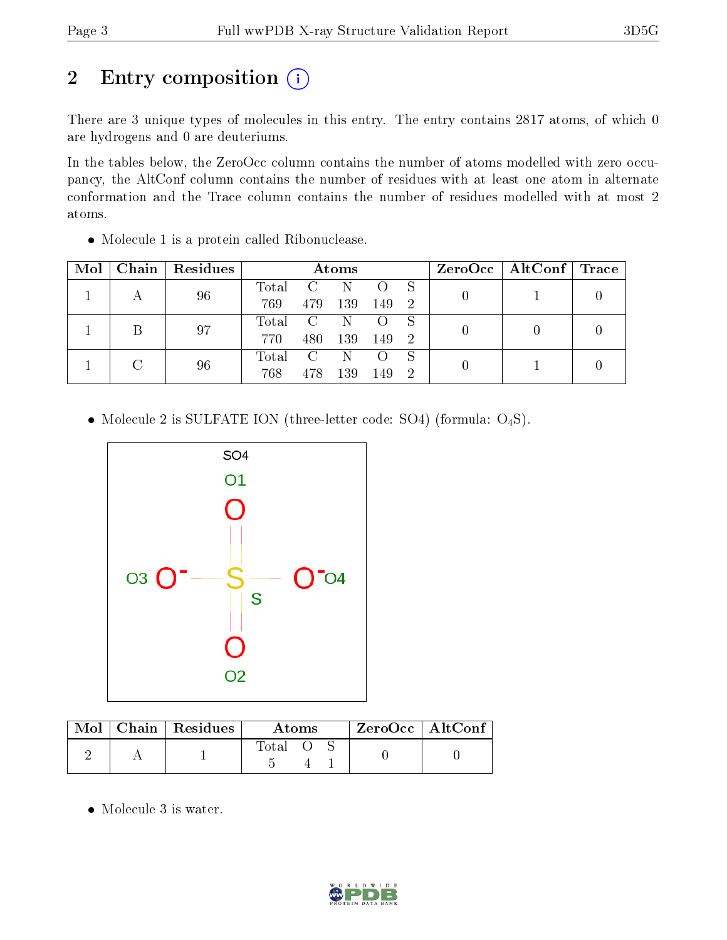## 2 Entry composition (i)

There are 3 unique types of molecules in this entry. The entry contains 2817 atoms, of which 0 are hydrogens and 0 are deuteriums.

In the tables below, the ZeroOcc column contains the number of atoms modelled with zero occupancy, the AltConf column contains the number of residues with at least one atom in alternate conformation and the Trace column contains the number of residues modelled with at most 2 atoms.

| Mol |    | Chain   Residues | Atoms          |                |                  |                  |                | $ZeroOcc$   AltConf   Trace |  |
|-----|----|------------------|----------------|----------------|------------------|------------------|----------------|-----------------------------|--|
|     |    | 96               | Total          | $\overline{C}$ | N                |                  |                |                             |  |
|     |    | 769              | 479            | 139            | 149              | -2               |                |                             |  |
|     |    | 97               | Total C N      |                |                  | $\left( \right)$ |                |                             |  |
|     |    |                  | 770            | 480            | 139              | 149              | $\overline{2}$ |                             |  |
|     | 96 | Total            | $\overline{C}$ | - N-           | $\left( \right)$ |                  |                |                             |  |
|     |    | 768              | 478            | 139            | 149              | $\mathbf{2}$     |                |                             |  |

Molecule 1 is a protein called Ribonuclease.

• Molecule 2 is SULFATE ION (three-letter code: SO4) (formula: O<sub>4</sub>S).



|  | Mol   Chain   Residues | Atoms       | $ZeroOcc$   AltConf |
|--|------------------------|-------------|---------------------|
|  |                        | $\rm Total$ |                     |

Molecule 3 is water.

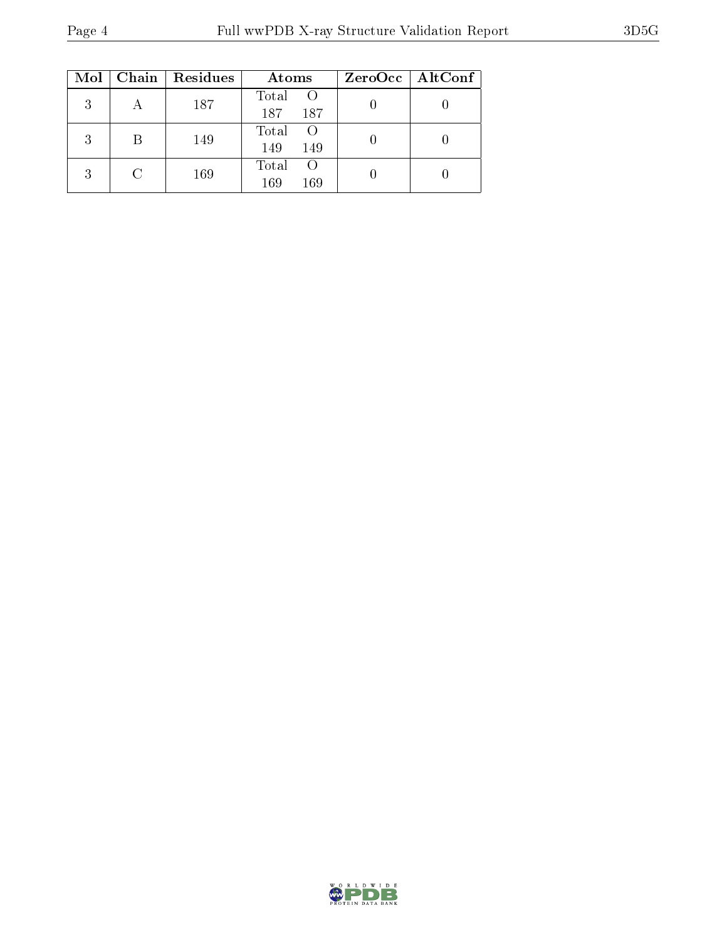|   |   | $Mol$   Chain   Residues | Atoms                                 | $ZeroOcc \mid AltConf$ |
|---|---|--------------------------|---------------------------------------|------------------------|
| 3 |   | 187                      | Total<br>$\overline{O}$<br>187<br>187 |                        |
| २ | В | 149                      | Total<br>- ()<br>149<br>149           |                        |
| २ |   | 169                      | Total<br>$\left($<br>169<br>169       |                        |

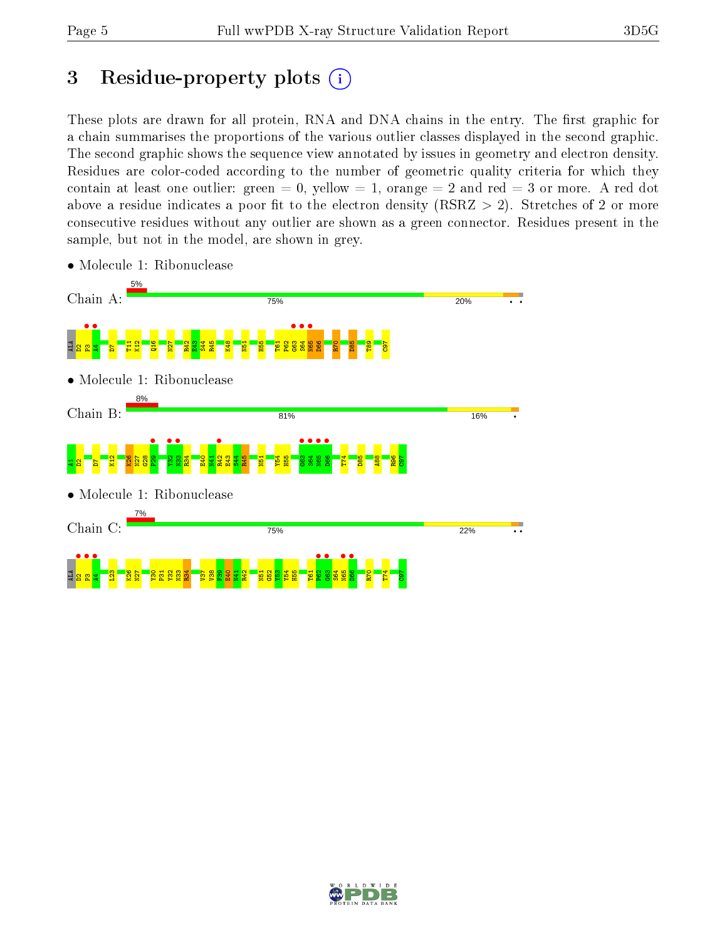## 3 Residue-property plots  $(i)$

These plots are drawn for all protein, RNA and DNA chains in the entry. The first graphic for a chain summarises the proportions of the various outlier classes displayed in the second graphic. The second graphic shows the sequence view annotated by issues in geometry and electron density. Residues are color-coded according to the number of geometric quality criteria for which they contain at least one outlier: green  $= 0$ , yellow  $= 1$ , orange  $= 2$  and red  $= 3$  or more. A red dot above a residue indicates a poor fit to the electron density (RSRZ  $> 2$ ). Stretches of 2 or more consecutive residues without any outlier are shown as a green connector. Residues present in the sample, but not in the model, are shown in grey.



• Molecule 1: Ribonuclease

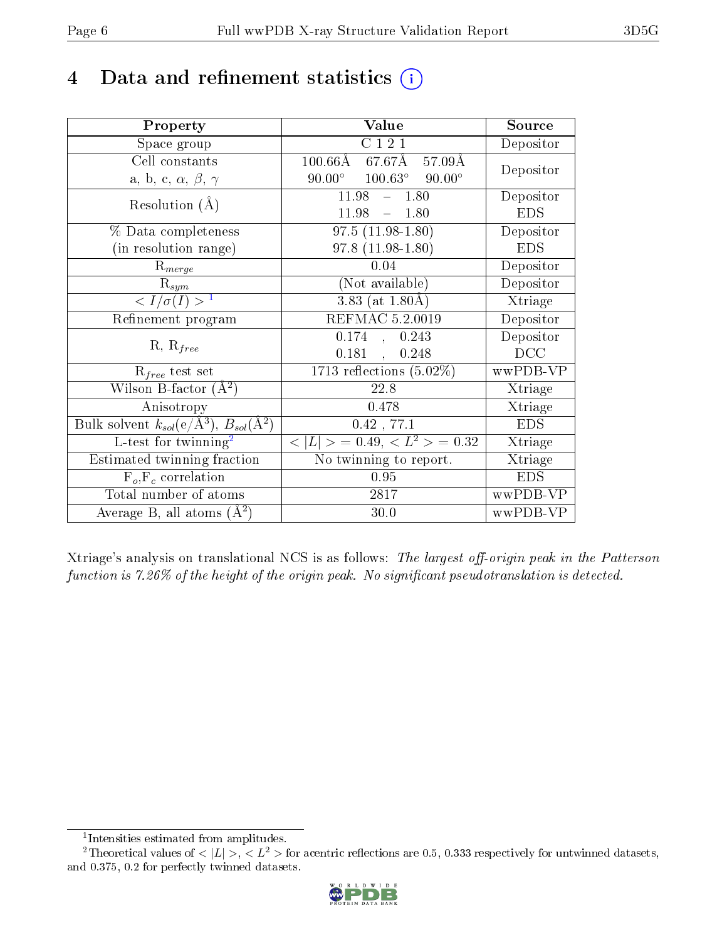### 4 Data and refinement statistics  $(i)$

| Property                                                             | Value                                                   | Source     |
|----------------------------------------------------------------------|---------------------------------------------------------|------------|
| Space group                                                          | C121                                                    | Depositor  |
| Cell constants                                                       | $100.66\text{\AA}$<br>67.67Å<br>$57.09\overline{\rm A}$ | Depositor  |
| a, b, c, $\alpha$ , $\beta$ , $\gamma$                               | $100.63^\circ$<br>$90.00^\circ$<br>$90.00^{\circ}$      |            |
| Resolution $(A)$                                                     | 11.98<br>$-1.80$                                        | Depositor  |
|                                                                      | 11.98<br>$-1.80$                                        | <b>EDS</b> |
| $\%$ Data completeness                                               | $97.5(11.98-1.80)$                                      | Depositor  |
| (in resolution range)                                                | $97.8(11.98-1.80)$                                      | <b>EDS</b> |
| $\mathrm{R}_{merge}$                                                 | 0.04                                                    | Depositor  |
| $\mathrm{R}_{sym}$                                                   | (Not available)                                         | Depositor  |
| $\langle I/\sigma(I) \rangle^{-1}$                                   | $3.83$ (at $1.80\text{\AA}$ )                           | Xtriage    |
| Refinement program                                                   | REFMAC 5.2.0019                                         | Depositor  |
|                                                                      | 0.174<br>0.243<br>$\overline{\mathcal{A}}$              | Depositor  |
| $R, R_{free}$                                                        | 0.181<br>0.248<br>$\mathcal{A}^{\pm}$                   | DCC        |
| $R_{free}$ test set                                                  | 1713 reflections $(5.02\%)$                             | wwPDB-VP   |
| Wilson B-factor $(A^2)$                                              | 22.8                                                    | Xtriage    |
| Anisotropy                                                           | 0.478                                                   | Xtriage    |
| Bulk solvent $k_{sol}(e/\mathring{A}^3)$ , $B_{sol}(\mathring{A}^2)$ | $0.42$ , 77.1                                           | <b>EDS</b> |
| L-test for $\overline{\text{twinning}}^2$                            | $< L >$ = 0.49, $< L^2 >$ = 0.32                        | Xtriage    |
| Estimated twinning fraction                                          | No twinning to report.                                  | Xtriage    |
| $\overline{F_o}, \overline{F_c}$ correlation                         | 0.95                                                    | <b>EDS</b> |
| Total number of atoms                                                | 2817                                                    | wwPDB-VP   |
| Average B, all atoms $(A^2)$                                         | 30.0                                                    | wwPDB-VP   |

Xtriage's analysis on translational NCS is as follows: The largest off-origin peak in the Patterson function is  $7.26\%$  of the height of the origin peak. No significant pseudotranslation is detected.

<sup>&</sup>lt;sup>2</sup>Theoretical values of  $\langle |L| \rangle$ ,  $\langle L^2 \rangle$  for acentric reflections are 0.5, 0.333 respectively for untwinned datasets, and 0.375, 0.2 for perfectly twinned datasets.



<span id="page-5-1"></span><span id="page-5-0"></span><sup>1</sup> Intensities estimated from amplitudes.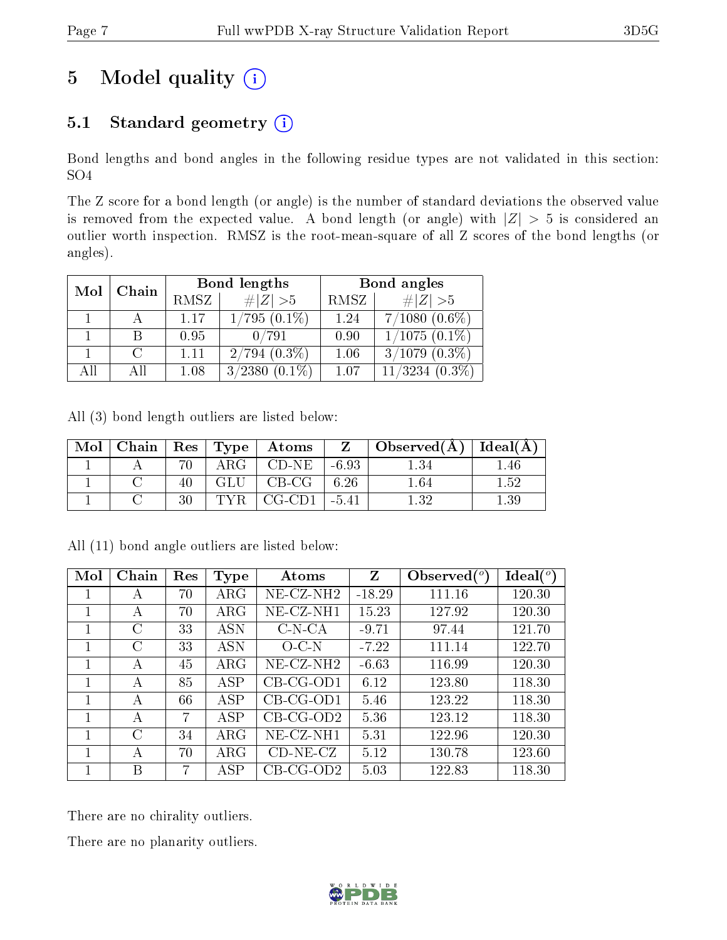## 5 Model quality  $(i)$

### 5.1 Standard geometry  $(i)$

Bond lengths and bond angles in the following residue types are not validated in this section: SO4

The Z score for a bond length (or angle) is the number of standard deviations the observed value is removed from the expected value. A bond length (or angle) with  $|Z| > 5$  is considered an outlier worth inspection. RMSZ is the root-mean-square of all Z scores of the bond lengths (or angles).

| Mol | Chain |      | Bond lengths      | Bond angles |                      |  |
|-----|-------|------|-------------------|-------------|----------------------|--|
|     |       | RMSZ | # $ Z >5$         | RMSZ        | # $ Z >5$            |  |
|     |       | 1.17 | $1/795(0.1\%)$    | 1.24        | $7/1080~(0.6\%)$     |  |
|     |       | 0.95 | 0/791             | 0.90        | $1/1075(0.1\%)$      |  |
|     |       | 1.11 | $2/794$ $(0.3\%)$ | 1.06        | $3/1079$ $(0.3\%)$   |  |
| AH  |       | 1.08 | 3/2380            | 1.07        | 11/3234<br>$(0.3\%)$ |  |

All (3) bond length outliers are listed below:

| Mol |  | Chain   $\text{Res}$   $\text{Type}$   Atoms | $Z_{-}$ | . Observed $(A)$ | Ideal $(A)$ |
|-----|--|----------------------------------------------|---------|------------------|-------------|
|     |  | $CD-NE$                                      | $-6.93$ |                  | 40          |
|     |  | $CB-CG$                                      | 6.26    | .64              | 152         |
|     |  | $CG-CD1$                                     | $-5.41$ | l 39             | .39         |

| Mol | Chain | Res | <b>Type</b>          | Atoms                 | Z        | Observed $(°)$ | Ideal(°) |
|-----|-------|-----|----------------------|-----------------------|----------|----------------|----------|
|     | А     | 70  | $\rm{ARG}$           | NE-CZ-NH <sub>2</sub> | $-18.29$ | 111.16         | 120.30   |
| 1   | А     | 70  | $\rm{ARG}$           | NE-CZ-NH1             | 15.23    | 127.92         | 120.30   |
|     | C     | 33  | <b>ASN</b>           | $C-N-CA$              | $-9.71$  | 97.44          | 121.70   |
|     | C     | 33  | <b>ASN</b>           | $O$ C-N               | $-7.22$  | 111.14         | 122.70   |
|     | А     | 45  | $\rm{ARG}$           | NE-CZ-NH <sub>2</sub> | $-6.63$  | 116.99         | 120.30   |
|     | А     | 85  | <b>ASP</b>           | CB-CG-OD1             | 6.12     | 123.80         | 118.30   |
|     | А     | 66  | <b>ASP</b>           | $CB-CG-OD1$           | 5.46     | 123.22         | 118.30   |
|     | А     | 7   | <b>ASP</b>           | $CB-CG-OD2$           | 5.36     | 123.12         | 118.30   |
|     | C     | 34  | $\rm{ARG}$           | NE-CZ-NH1             | 5.31     | 122.96         | 120.30   |
|     | А     | 70  | $\rm{ARG}$           | $CD-NE- CZ$           | 5.12     | 130.78         | 123.60   |
|     | В     | 7   | $\operatorname{ASP}$ | $CB-CG-OD2$           | 5.03     | 122.83         | 118.30   |

All (11) bond angle outliers are listed below:

There are no chirality outliers.

There are no planarity outliers.

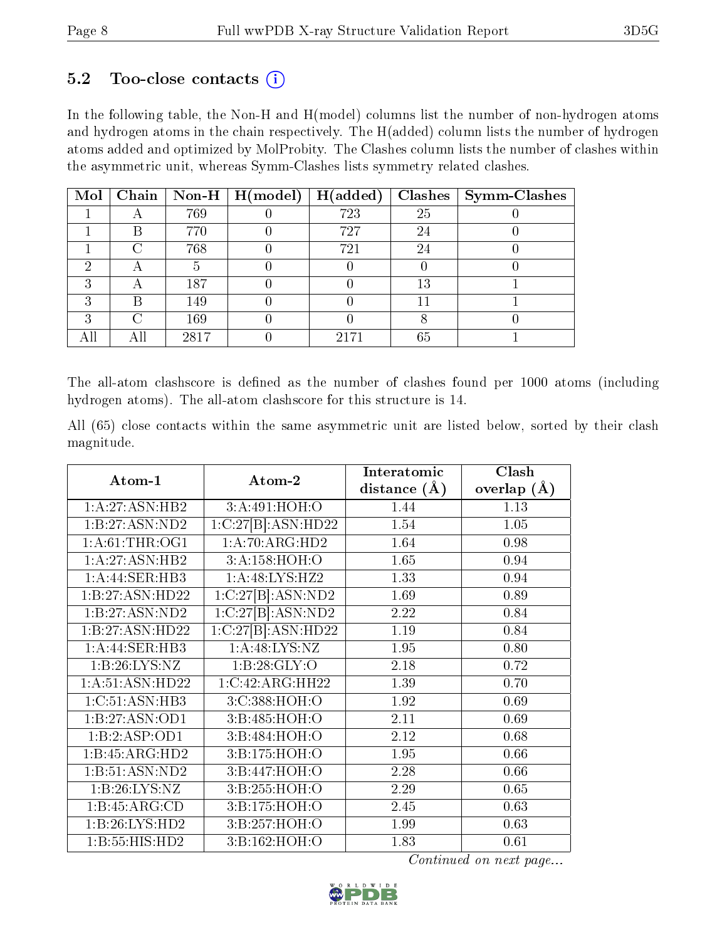#### $5.2$  Too-close contacts  $(i)$

In the following table, the Non-H and H(model) columns list the number of non-hydrogen atoms and hydrogen atoms in the chain respectively. The H(added) column lists the number of hydrogen atoms added and optimized by MolProbity. The Clashes column lists the number of clashes within the asymmetric unit, whereas Symm-Clashes lists symmetry related clashes.

| $\bf{Mol}$ |   |      | Chain   Non-H   $H (model)$ | H(added) |    | $Class   Symm-Class$ |
|------------|---|------|-----------------------------|----------|----|----------------------|
|            |   | 769  |                             | 723      | 25 |                      |
|            |   | 770  |                             | 727      | 24 |                      |
|            |   | 768  |                             | 721      | 24 |                      |
|            |   |      |                             |          |    |                      |
| ച          |   | 187  |                             |          | 13 |                      |
| ച          | В | 149  |                             |          |    |                      |
| ച          |   | 169  |                             |          |    |                      |
|            |   | 2817 |                             | 2171     | 65 |                      |

The all-atom clashscore is defined as the number of clashes found per 1000 atoms (including hydrogen atoms). The all-atom clashscore for this structure is 14.

All (65) close contacts within the same asymmetric unit are listed below, sorted by their clash magnitude.

|                  |                    | Interatomic      | Clash           |
|------------------|--------------------|------------------|-----------------|
| Atom-1           | Atom-2             | distance $(\AA)$ | overlap $(\AA)$ |
| 1:A:27:ASN:HB2   | 3:A:491:HOH:O      | 1.44             | 1.13            |
| 1:B:27:ASN:ND2   | 1:C:27[B]:ASN:HD22 | 1.54             | 1.05            |
| 1: A:61:THR:OG1  | 1:A:70:ARG:HD2     | 1.64             | 0.98            |
| 1: A:27: ASN:HB2 | 3:A:158:HOH:O      | 1.65             | 0.94            |
| 1:A:44:SER:HB3   | 1:A:48:LYS:HZ2     | 1.33             | 0.94            |
| 1:B:27:ASN:HD22  | 1:C:27[B]:ASN:ND2  | 1.69             | 0.89            |
| 1:B:27:ASN:ND2   | 1:C:27[B]:ASN:ND2  | 2.22             | 0.84            |
| 1:B:27:ASN:HD22  | 1:C:27[B]:ASN:HD22 | 1.19             | 0.84            |
| 1:A:44:SER:HB3   | 1: A:48: LYS:NZ    | 1.95             | 0.80            |
| 1:B:26:LYS:NZ    | 1: B:28: GLY:O     | 2.18             | 0.72            |
| 1:A:51:ASN:HD22  | 1:C:42:ARG:HH22    | 1.39             | 0.70            |
| 1:C:51:ASN:HB3   | 3:C:388:HOH:O      | 1.92             | 0.69            |
| 1:B:27:ASN:OD1   | 3:B:485:HOH:O      | 2.11             | 0.69            |
| 1:B:2:ASP:OD1    | 3:B:484:HOH:O      | 2.12             | 0.68            |
| 1:B:45:ARG:HD2   | 3:B:175:HOH:O      | 1.95             | 0.66            |
| 1:B:51:ASN:ND2   | 3:B:447:HOH:O      | 2.28             | 0.66            |
| 1:B:26:LYS:NZ    | 3:B:255:HOH:O      | 2.29             | 0.65            |
| 1:B:45:ARG:CD    | 3:B:175:HOH:O      | 2.45             | 0.63            |
| 1:B:26:LYS:HD2   | 3:B:257:HOH:O      | 1.99             | 0.63            |
| 1:B:55:HIS:HD2   | 3:B:162:HOH:O      | 1.83             | 0.61            |

Continued on next page...

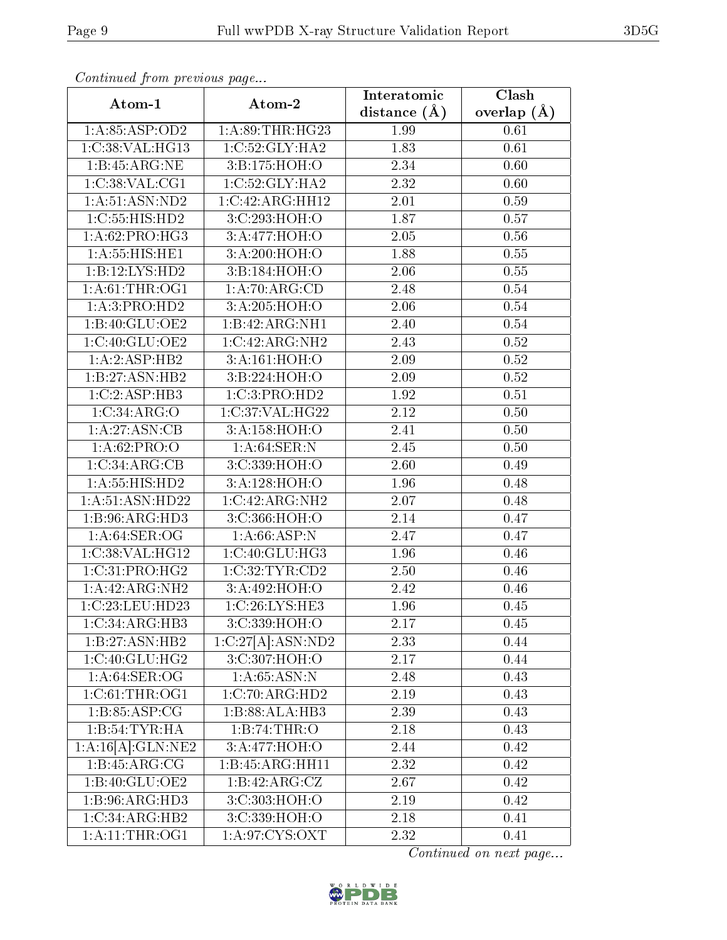| Connenaca promo precio do pago<br>Atom-1 | Atom-2            | Interatomic       | Clash             |
|------------------------------------------|-------------------|-------------------|-------------------|
|                                          |                   | distance $(A)$    | overlap $(A)$     |
| 1:A:85:ASP:OD2                           | 1: A:89:THR:HG23  | 1.99              | 0.61              |
| 1:C:38:VAL:HG13                          | 1:C:52:GLY:HA2    | 1.83              | 0.61              |
| 1:B:45:ARG:NE                            | 3:B:175:HOH:O     | 2.34              | 0.60              |
| 1:C:38:VAL:CG1                           | 1:C:52:GLY:HA2    | 2.32              | 0.60              |
| 1: A:51: ASN:ND2                         | 1:C:42:ARG:HH12   | 2.01              | 0.59              |
| 1:C:55:HIS:HD2                           | 3:C:293:HOH:O     | 1.87              | 0.57              |
| 1:A:62:PRO:HG3                           | 3:A:477:HOH:O     | $\overline{2.05}$ | 0.56              |
| 1: A: 55: HIS: HE1                       | 3:A:200:HOH:O     | 1.88              | 0.55              |
| 1:B:12:LYS:HD2                           | 3:B:184:HOH:O     | 2.06              | 0.55              |
| 1: A:61:THR:OG1                          | 1: A:70: ARG:CD   | 2.48              | 0.54              |
| 1:A:3:PRO:HD2                            | 3:A:205:HOH:O     | 2.06              | 0.54              |
| 1:B:40:GLU:OE2                           | 1:B:42:ARG:NH1    | 2.40              | 0.54              |
| 1:C:40:GLU:OE2                           | 1:C:42:ARG:NH2    | 2.43              | 0.52              |
| 1:A:2:ASP:HB2                            | 3:A:161:HOH:O     | 2.09              | 0.52              |
| 1:B:27:ASN:HB2                           | 3:B:224:HOH:O     | 2.09              | 0.52              |
| 1:C:2:ASP:HB3                            | 1:C:3:PRO:HD2     | 1.92              | 0.51              |
| 1:C:34:ARG:O                             | 1:C:37:VAL:HG22   | 2.12              | 0.50              |
| 1:A:27:ASN:CB                            | 3:A:158:HOH:O     | 2.41              | 0.50              |
| 1: A:62: PRO:O                           | 1: A:64:SER:N     | 2.45              | 0.50              |
| 1:C:34:ARG:CB                            | 3:C:339:HOH:O     | $\overline{2}.60$ | 0.49              |
| 1: A: 55: HIS: HD2                       | 3:A:128:HOH:O     | 1.96              | 0.48              |
| 1:A:51:ASN:HD22                          | 1:C:42:ARG:NH2    | 2.07              | 0.48              |
| 1:B:96:ARG:HD3                           | 3:C:366:HOH:O     | 2.14              | 0.47              |
| 1: A:64: SER:OG                          | 1:A:66:ASP:N      | 2.47              | 0.47              |
| 1:C:38:VAL:HG12                          | 1:C:40:GLU:HG3    | 1.96              | 0.46              |
| 1:C:31:PRO:HG2                           | 1:C:32:TYR:CD2    | 2.50              | 0.46              |
| 1:A:42:ARG:NH2                           | 3:A:492:HOH:O     | 2.42              | 0.46              |
| 1:C:23:LEU:HD23                          | 1:C:26:LYS:HE3    | 1.96              | $\overline{0}.45$ |
| 1:C:34:ARG:HB3                           | 3:C:339:HOH:O     | 2.17              | 0.45              |
| 1:B:27:ASN:HB2                           | 1:C:27[A]:ASN:ND2 | 2.33              | 0.44              |
| 1:C:40:GLU:HG2                           | 3:C:307:HOH:O     | 2.17              | 0.44              |
| 1: A:64: SER:OG                          | 1: A:65: ASN: N   | 2.48              | 0.43              |
| 1:C:61:THR:OG1                           | 1:C:70:ARG:HD2    | 2.19              | 0.43              |
| 1:B:85:ASP:CG                            | 1:B:88:ALA:HB3    | 2.39              | 0.43              |
| 1:B:54:TYR:HA                            | 1:B:74:THR:O      | 2.18              | 0.43              |
| 1:A:16[A]:GLN:NE2                        | 3:A:477:HOH:O     | 2.44              | 0.42              |
| 1:B:45:ARG:CG                            | 1:B:45:ARG:HH11   | 2.32              | 0.42              |
| 1:B:40:GLU:OE2                           | 1:B:42:ARG:CZ     | 2.67              | 0.42              |
| 1:B:96:ARG:HD3                           | 3:C:303:HOH:O     | 2.19              | 0.42              |
| 1:C:34:ARG:HB2                           | 3:C:339:HOH:O     | 2.18              | 0.41              |
| 1:A:11:THR:OG1                           | 1: A:97: CYS: OXT | 2.32              | 0.41              |

Continued from previous page.

Continued on next page...

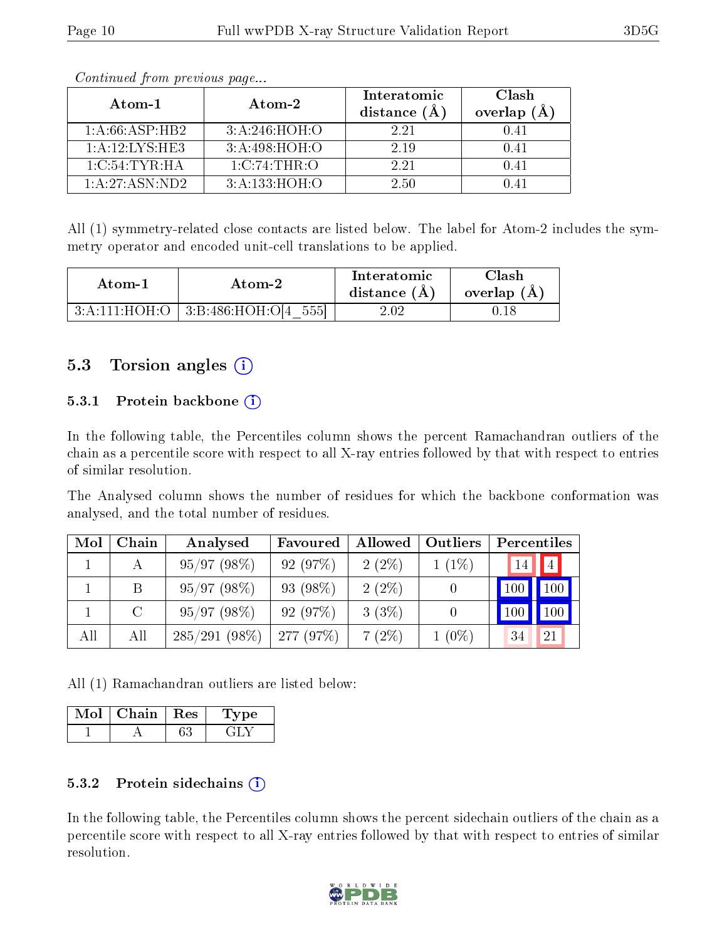| Atom-1             | $\boldsymbol{\mathrm{Atom}\text{-}2}$ | Interatomic<br>distance (A | Clash<br>overlap<br>(A) |
|--------------------|---------------------------------------|----------------------------|-------------------------|
| 1: A:66:ASP:HB2    | 3:A:246:HOH:O                         | 2.21                       | 0.41                    |
| 1: A: 12: LYS: HE3 | 3:A:498:HOH:O                         | 2.19                       | 0.41                    |
| 1:C:54:TYR:HA      | $1:C:74$ : THR: O                     | 2.21                       | 0.41                    |
| 1: A:27:ASN:ND2    | 3:A:133:HOH:O                         | 2.50                       | D 41                    |

Continued from previous page...

All (1) symmetry-related close contacts are listed below. The label for Atom-2 includes the symmetry operator and encoded unit-cell translations to be applied.

| Atom-1 | Atom-2                                   | Interatomic<br>distance $(A)$ | ${\rm Class}$<br>overlap $(A)$ |
|--------|------------------------------------------|-------------------------------|--------------------------------|
|        | $3:A:111:HOH:O$   $3:B:486:HOH:O[4 555]$ | 2.02                          |                                |

#### 5.3 Torsion angles (i)

#### 5.3.1 Protein backbone (i)

In the following table, the Percentiles column shows the percent Ramachandran outliers of the chain as a percentile score with respect to all X-ray entries followed by that with respect to entries of similar resolution.

The Analysed column shows the number of residues for which the backbone conformation was analysed, and the total number of residues.

| Mol | Chain   | Analysed        | Favoured | Allowed  | Outliers | Percentiles |     |
|-----|---------|-----------------|----------|----------|----------|-------------|-----|
|     | А       | 95/97(98%)      | 92(97%)  | $2(2\%)$ | $1(1\%)$ | 14          | 4   |
|     | B       | 95/97(98%)      | 93 (98%) | $2(2\%)$ |          | 100         | 100 |
|     | $\rm C$ | 95/97(98%)      | 92(97%)  | $3(3\%)$ |          |             | 100 |
| All | All     | $285/291(98\%)$ | 277(97%) | $7(2\%)$ | $1(0\%)$ |             | 21  |

All (1) Ramachandran outliers are listed below:

| Chain | Res | vpe |
|-------|-----|-----|
|       |     |     |

#### 5.3.2 Protein sidechains  $(i)$

In the following table, the Percentiles column shows the percent sidechain outliers of the chain as a percentile score with respect to all X-ray entries followed by that with respect to entries of similar resolution.

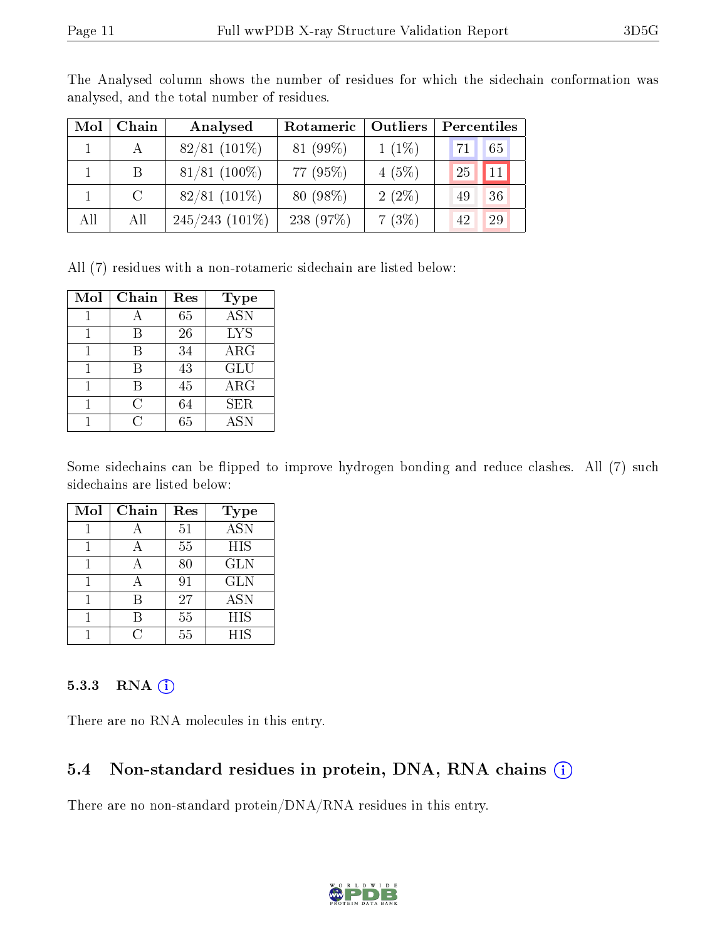| Mol | Chain         | Analysed          | Rotameric  | Outliers | Percentiles |
|-----|---------------|-------------------|------------|----------|-------------|
|     |               | $82/81(101\%)$    | $81(99\%)$ | $1(1\%)$ | 65<br>71    |
|     | B             | $81/81$ (100%)    | 77 (95%)   | $4(5\%)$ | 25<br>11    |
|     | $\mathcal{C}$ | $82/81$ (101\%)   | 80 (98%)   | $2(2\%)$ | 36<br>49    |
| All | All           | $245/243$ (101\%) | 238 (97%)  | 7(3%)    | 29<br>42    |

The Analysed column shows the number of residues for which the sidechain conformation was analysed, and the total number of residues.

All (7) residues with a non-rotameric sidechain are listed below:

| Mol | Chain | Res | Type       |
|-----|-------|-----|------------|
|     |       | 65  | <b>ASN</b> |
|     | В     | 26  | <b>LYS</b> |
|     |       | 34  | ARG        |
|     |       | 43  | GLU        |
|     | В     | 45  | ARG        |
|     | C     | 64  | <b>SER</b> |
|     |       | 65  | ASN        |

Some sidechains can be flipped to improve hydrogen bonding and reduce clashes. All (7) such sidechains are listed below:

| Mol | Chain | Res | Type             |
|-----|-------|-----|------------------|
|     |       | 51  | $\overline{ASN}$ |
|     |       | 55  | <b>HIS</b>       |
|     |       | 80  | <b>GLN</b>       |
|     |       | 91  | <b>GLN</b>       |
|     | R     | 27  | $\overline{ASN}$ |
|     |       | 55  | HIS              |
|     |       | 55  | <b>HIS</b>       |

#### 5.3.3 RNA [O](https://www.wwpdb.org/validation/2017/XrayValidationReportHelp#rna)i

There are no RNA molecules in this entry.

#### 5.4 Non-standard residues in protein, DNA, RNA chains (i)

There are no non-standard protein/DNA/RNA residues in this entry.

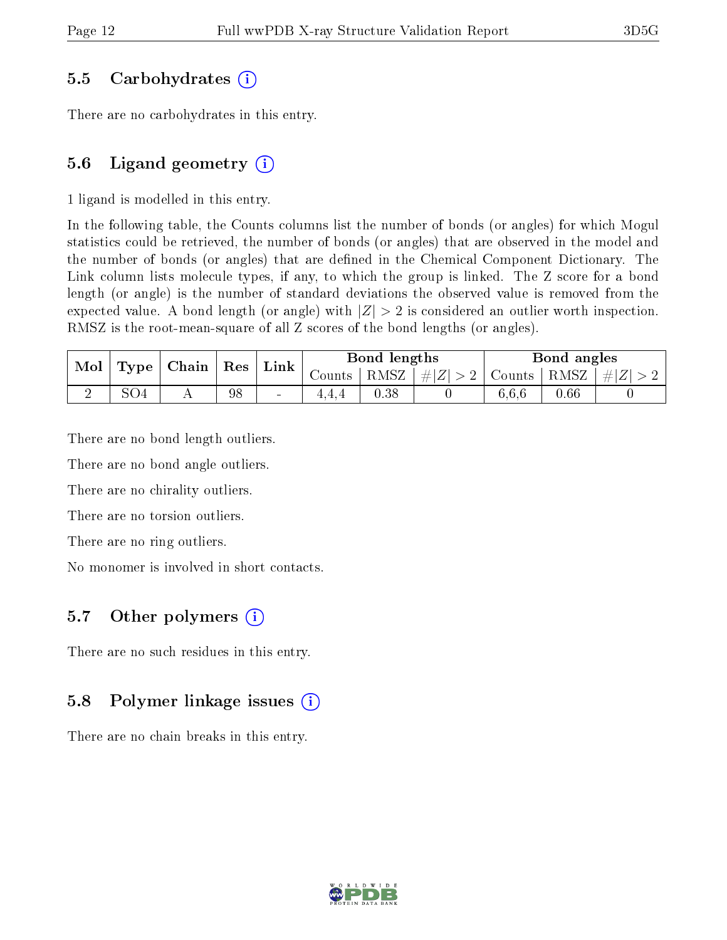#### 5.5 Carbohydrates (i)

There are no carbohydrates in this entry.

#### 5.6 Ligand geometry  $(i)$

1 ligand is modelled in this entry.

In the following table, the Counts columns list the number of bonds (or angles) for which Mogul statistics could be retrieved, the number of bonds (or angles) that are observed in the model and the number of bonds (or angles) that are defined in the Chemical Component Dictionary. The Link column lists molecule types, if any, to which the group is linked. The Z score for a bond length (or angle) is the number of standard deviations the observed value is removed from the expected value. A bond length (or angle) with  $|Z| > 2$  is considered an outlier worth inspection. RMSZ is the root-mean-square of all Z scores of the bond lengths (or angles).

| $\vert$ Type $\vert$ Chain $\vert$ Res $\vert$ Link $\vert$<br>Mol |     |    |        | Bond lengths                                                      |  |       | Bond angles |  |
|--------------------------------------------------------------------|-----|----|--------|-------------------------------------------------------------------|--|-------|-------------|--|
|                                                                    |     |    |        | Counts   RMSZ $\mid \#  Z  > 2$   Counts   RMSZ $\mid \#  Z  > 2$ |  |       |             |  |
|                                                                    | SO4 | 98 | $\sim$ | $0.38\,$                                                          |  | 6,6,6 | 0.66        |  |

There are no bond length outliers.

There are no bond angle outliers.

There are no chirality outliers.

There are no torsion outliers.

There are no ring outliers.

No monomer is involved in short contacts.

#### 5.7 [O](https://www.wwpdb.org/validation/2017/XrayValidationReportHelp#nonstandard_residues_and_ligands)ther polymers  $(i)$

There are no such residues in this entry.

#### 5.8 Polymer linkage issues (i)

There are no chain breaks in this entry.

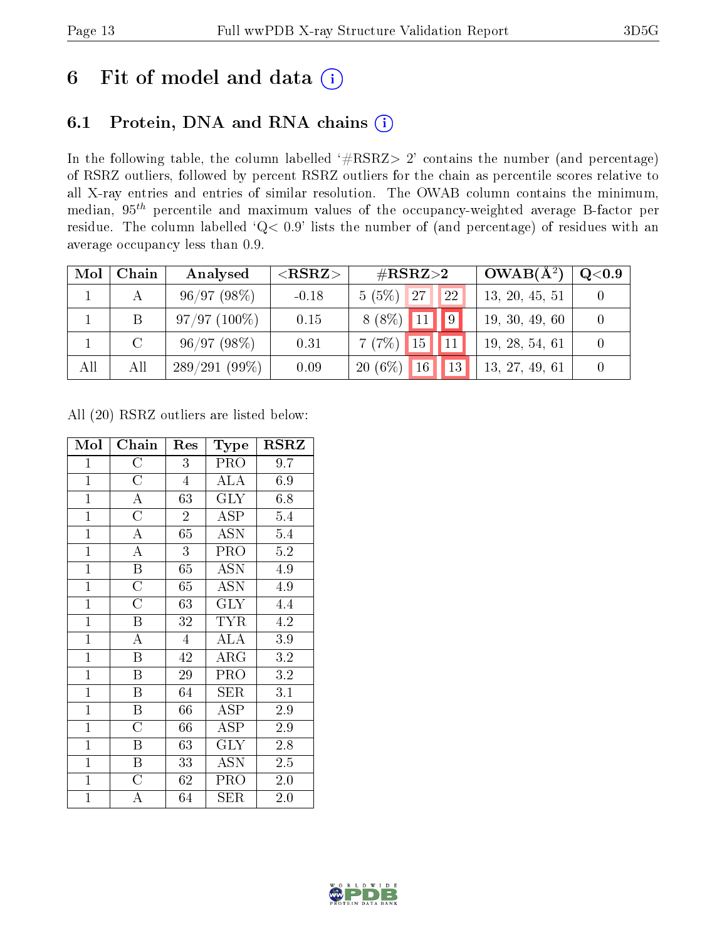### 6 Fit of model and data  $(i)$

### 6.1 Protein, DNA and RNA chains  $(i)$

In the following table, the column labelled  $#RSRZ> 2'$  contains the number (and percentage) of RSRZ outliers, followed by percent RSRZ outliers for the chain as percentile scores relative to all X-ray entries and entries of similar resolution. The OWAB column contains the minimum, median,  $95<sup>th</sup>$  percentile and maximum values of the occupancy-weighted average B-factor per residue. The column labelled ' $Q< 0.9$ ' lists the number of (and percentage) of residues with an average occupancy less than 0.9.

| Mol | Chain         | Analysed        | ${ <\hspace{-1.5pt}{\mathrm{RSRZ}} \hspace{-1.5pt}>}$ | $\rm \#RSRZ{>}2$                     | $OWAB(A^2)$    | Q <sub>0.9</sub> |
|-----|---------------|-----------------|-------------------------------------------------------|--------------------------------------|----------------|------------------|
|     |               | 96/97(98%)      | $-0.18$                                               | $5(5\%)$ 27<br><sup>22</sup>         | 13, 20, 45, 51 |                  |
|     | B             | $97/97(100\%)$  | 0.15                                                  | $\vert \vert 9 \vert$<br>$8(8\%)$ 11 | 19, 30, 49, 60 |                  |
|     | $\mathcal{C}$ | 96/97(98%)      | 0.31                                                  | 15 11<br>7(7%)                       | 19, 28, 54, 61 |                  |
| All | All           | $289/291(99\%)$ | 0.09                                                  | 13 <br>$20(6\%)$<br>16               | 13, 27, 49, 61 |                  |

All (20) RSRZ outliers are listed below:

| Mol            | Chain                   | Res            | Type                      | <b>RSRZ</b> |
|----------------|-------------------------|----------------|---------------------------|-------------|
| $\mathbf{1}$   | $\rm C$                 | 3              | PRO                       | 9.7         |
| $\overline{1}$ | $\overline{\rm C}$      | $\overline{4}$ | <b>ALA</b>                | 6.9         |
| $\overline{1}$ | $\overline{\rm A}$      | 63             | <b>GLY</b>                | 6.8         |
| $\overline{1}$ | $\overline{\rm C}$      | $\overline{2}$ | $\overline{\text{ASP}}$   | 5.4         |
| $\mathbf{1}$   | $\boldsymbol{A}$        | 65             | <b>ASN</b>                | 5.4         |
| $\overline{1}$ | $\overline{\rm A}$      | 3              | PRO                       | $5.2\,$     |
| $\overline{1}$ | $\overline{\mathrm{B}}$ | 65             | <b>ASN</b>                | 4.9         |
| $\overline{1}$ | $\overline{\rm C}$      | 65             | <b>ASN</b>                | 4.9         |
| $\overline{1}$ | $\overline{\rm C}$      | 63             | $\overline{\text{GLY}}$   | 4.4         |
| $\mathbf{1}$   | $\boldsymbol{B}$        | 32             | <b>TYR</b>                | 4.2         |
| $\overline{1}$ | $\overline{\rm A}$      | $\overline{4}$ | $\overline{\rm ALA}$      | 3.9         |
| $\overline{1}$ | $\overline{B}$          | 42             | ${\rm ARG}$               | 3.2         |
| $\mathbf{1}$   | $\boldsymbol{B}$        | 29             | PRO                       | 3.2         |
| $\mathbf{1}$   | $\boldsymbol{B}$        | 64             | <b>SER</b>                | 3.1         |
| $\mathbf{1}$   | B                       | 66             | $\operatorname{ASP}$      | 2.9         |
| $\overline{1}$ | $\overline{\rm C}$      | 66             | ASP                       | 2.9         |
| $\mathbf{1}$   | $\overline{B}$          | 63             | <b>GLY</b>                | 2.8         |
| $\overline{1}$ | $\overline{\mathrm{B}}$ | 33             | $\overline{\mathrm{ASN}}$ | $2.5\,$     |
| $\mathbf{1}$   | $\overline{\rm C}$      | 62             | PRO                       | $2.0\,$     |
| $\overline{1}$ | A                       | 64             | <b>SER</b>                | 2.0         |